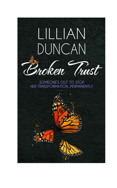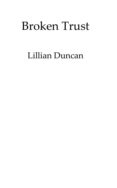# Lillian Duncan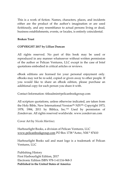This is a work of fiction. Names, characters, places, and incidents either are the product of the author's imagination or are used fictitiously, and any resemblance to actual persons living or dead, business establishments, events, or locales, is entirely coincidental.

#### **Broken Trust**

#### **COPYRIGHT 2017 by Lillian Duncan**

All rights reserved. No part of this book may be used or reproduced in any manner whatsoever without written permission of the author or Pelican Ventures, LLC except in the case of brief quotations embodied in critical articles or reviews.

eBook editions are licensed for your personal enjoyment only. eBooks may not be re-sold, copied or given away to other people. If you would like to share an eBook edition, please purchase an additional copy for each person you share it with.

Contact Information: titleadmin@pelicanbookgroup.com

All scripture quotations, unless otherwise indicated, are taken from the Holy Bible, New International Version<sup>(R),</sup> NIV<sup>(R),</sup> Copyright 1973, 1978, 1984, 2011 by Biblica, Inc.™ Used by permission of Zondervan. All rights reserved worldwide. www.zondervan.com

Cover Art by *Nicola Martinez*

Harbourlight Books, a division of Pelican Ventures, LLC [www.pelicanbookgroup.com](http://www.pelicanbookgroup.com/) PO Box 1738 \*Aztec, NM \* 87410

Harbourlight Books sail and mast logo is a trademark of Pelican Ventures, LLC

Publishing History First Harbourlight Edition, 2017 Electronic Edition ISBN 978-1-61116-968-3 **Published in the United States of America**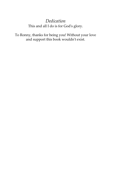### *Dedication* This and all I do is for God's glory.

To Ronny, thanks for being you! Without your love and support this book wouldn't exist.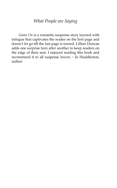### *What People are Saying*

*Game On* is a romantic-suspense story layered with intrigue that captivates the reader on the first page and doesn't let go till the last page is turned. Lillian Duncan adds one surprise turn after another to keep readers on the edge of their seat. I enjoyed reading this book and recommend it to all suspense lovers. ~ Jo Huddleston, author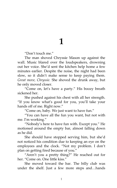### **1**

'Don't touch me.'

The man shoved Chryssie Mason up against the wall. Music blared over the loudspeakers, drowning out her voice. She'd sent the kitchen help home a few minutes earlier. Despite the noise, the night had been slow, so it didn't make sense to keep paying them. *Great move, Chryssie.* She shoved the drunk away, but he only moved closer.

'Come on, let's have a party.' His boozy breath sickened her.

She pushed against his chest with all her strength. 'If you know what's good for you, you'll take your hands off of me. Right now.'

'Come on, baby. We just want to have fun.'

'You can have all the fun you want, but not with me. I'm working.'

'Nobody's here to have fun with. Except you.' He motioned around the empty bar, almost falling down as he did.

She should have stopped serving him, but she'd not noticed his condition due to keeping an eye on the employees and the clock. 'Not my problem. I don't plan on getting fired because of you.'

'Aren't you a pretty thing?' He reached out for her. "Come on. One little kiss."

She moved toward the bar. The billy club was under the shelf. Just a few more steps and…hands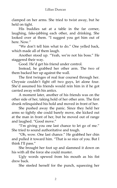clamped on her arms. She tried to twist away, but he held on tight.

His buddies sat at a table in the far corner, laughing, fake-jabbing each other, and drinking. She looked over at them. 'I suggest you get him out of here. Now.'

'We don't tell him what to do.' One yelled back, which made all of them laugh.

Another stood up. 'Yeah, we're not his boss.' He staggered their way.

Good. He'd get his friend under control.

Instead, he grabbed her other arm. The two of them backed her up against the wall.

The first twinges of real fear coursed through her. Chryssie couldn't fight off two guys, let alone four. She'd assumed his friends would rein him in if he got carried away with his antics.

A moment later, another of his friends was on the other side of her, taking hold of her other arm. The first drunk relinquished his hold and moved in front of her.

She pushed away the panic. Since they held her arms so tightly she could barely move, she kicked out at the man in front of her, but he moved out of range and laughed. 'Good move.'

'I'm giving you one last chance to let go of me.' She tried to sound authoritative and tough.

'Oh, wow. One last chance.' He grabbed her chin and pulled it toward him. 'That is so nice of you. But I think I'll pass.'

She brought her foot up and slammed it down on his with all the force she could muster.

Ugly words spewed from his mouth as his fist drew back.

She steeled herself for the punch, squeezing her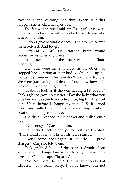eyes shut and ducking her chin. When it didn't happen, she cracked her eyes open.

The fist was stopped mid-air. The guy's eyes were widened. His face flushed red as he turned to see who was behind him.

'I don't give second chances.' The new voice was matter-of-fact. And tough.

*Zack, thank God.* Her startled brain would recognize his tones anywhere.

In the next moment the drunk was on the floor, moaning.

Her arms were instantly freed as the other two stepped back, staring at their buddy. One held up his hands in surrender. "Hey, we don't want any trouble. We were just having a little fun. You know how it is, we didn't mean nothing by it.'

'It didn't look as if she was having a bit of fun.' Zack's glance gave no quarter. 'Pay the lady what you owe her and be sure to include a nice, big tip. Then get out of here before I change my mind.' Zack leaned down and pulled their buddy to a standing position. 'Got some money for her tip?'

The drunk reached in his pocket and pulled out a five.

"Not enough." Zack told him.

He reached back in and pulled out two twenties. 'This should cover it.' His words were slurred.

'Don't come back again. If you do, I'll press charges." Chryssie told them.

Zack grabbed hold of the nearest drunk. 'You know what? I changed my mind. All of you need to be arrested. Call the cops, Chryssie.'

'No. No. Don't do that.' The instigator looked at Chryssie. 'I'm really sorry. I don't know…I'm not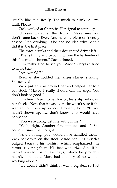usually like this. Really. Too much to drink. All my fault. Please.'

Zack winked at Chryssie. Her signal to act tough.

Chryssie glared at the drunk. 'Make sure you don't come back. Ever. And here's a piece of friendly advice. Stop drinking.' She had no idea why people did it in the first place.

The three drunks and their designated driver left.

'That's funny advice coming from the bartender of this fine establishment.' Zack grinned.

'I'm really glad to see you, Zack.' Chryssie tried to smile back.

'Are you OK?'

Even as she nodded, her knees started shaking. She swayed.

Zack put an arm around her and helped her to a bar stool. 'Maybe I really should call the cops. You don't look so good.'

'I'm fine.' Much to her horror, tears slipped down her cheeks. Now that it was over, she wasn't sure if she wanted to throw up or cry. Probably both. 'If you hadn't shown up, I…I don't know what would have happened.'

'You were doing just fine without me.'

'Yeah, right. Another few minutes and…' She couldn't finish the thought.

"And nothing, you would have handled them." Zack sat down on the stool beside her. His muscles bulged beneath his T-shirt, which emphasized the tattoos covering them. His face was grizzled as if he hadn't shaved for a few days, which he probably hadn't. 'I thought Marv had a policy of no women working alone.'

'He does. I didn't think it was a big deal so I let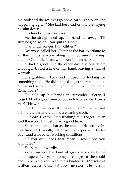the cook and the waitress go home early. That won't be happening again.' She laid her head on the bar, trying to calm down.

His hand rubbed her back.

As she straightened up, his hand fell away. 'I'll sure be glad when I can quit this job."

'Not much longer, huh, Glitter?'

Everyone called her Glitter at the bar. A tribute to all the bling she wore, along with too much makeup and her Goth-like black wig. 'Not if I can help it.'

'I had a good time the other day. On our date.' His finger traced a line on her hand, leaving a trail of warmth.

She grabbed it back and jumped up, looking for something to do. He didn't need to get the wrong idea. 'It wasn't a date. I told you that. Lunch, not date. Remember?'

He held up his hands in surrender. 'Sorry, I forgot. I had a good time on our not-a-date date. How's that?' He winked.

'Zack. I'm serious. It wasn't a date.' She walked behind the bar and grabbed a cleaning cloth.

'I know. I know. Stop freaking out. Forget I even said the word. But I still had a good time."

She rubbed at the bar as she talked. 'Hopefully, by this time next month, I'll have a new job with better pay…and a lot better working conditions.'

'If you quit, does that mean I won't see you anymore?'

She sighed inwardly.

Zack was not the kind of guy she wanted. She hadn't spent five years going to college so she could end up with a biker. Despite his kindness, *bad news* was written across those tattooed muscles. He was a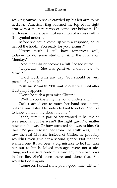walking canvas. A snake crawled up his left arm to his neck. An American flag adorned the top of his right arm with a military tattoo of some sort below it. His left forearm had a beautiful rendition of a cross with a fish symbol under it.

Before she could come up with a response, he let her off the hook. "You ready for your exams?"

'Pretty much. I still have tomorrow—well, today— to do some studying. And the final's on Monday.'

"And then Glitter becomes a full-fledged nurse."

'Hopefully.' She was pensive. 'I don't want to blow it.'

'Hard work wins any day. You should be very proud of yourself.'

*Yeah, she should be*. 'I'll wait to celebrate until after it actually happens.'

'Don't be such a pessimist, Glitter.'

'Well, if you knew my life you'd understand.'

Zack reached out to touch her hand once again, but she was faster. He pretended not to notice. 'I'd like to know a little more about that life.'

'Yeah, sure.' A part of her wanted to believe he was serious, but he wasn't the right guy. No matter how cute he was. Or how attracted she was to him. Or that he'd just rescued her from...the truth was, if he saw the real Chryssie instead of Glitter, he probably wouldn't even give her a second glance. Not that she wanted one. It had been a big mistake to let him take her out to lunch. Mixed messages were not a nice thing, and she sure couldn't afford any more bad boys in her life. She'd been there and done that. She wouldn't do it again.

'Come on, I could show you a good time, Glitter.'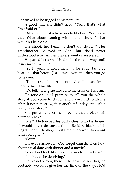He winked as he tugged at his pony tail.

A good time she didn't need. 'Yeah, that's what I'm afraid of  $''$ 

'Afraid? I'm just a harmless teddy bear. You know that. What about coming with me to church? That wouldn't be a date.'

She shook her head. 'I don't do church.' Her grandmother believed in God, but she'd never understood why. All her prayers went unanswered.

He patted her arm. 'Used to be the same way until Jesus saved my life.'

'Yeah, yeah. I don't mean to be rude, but I've heard all that before. Jesus saves you and then you go to heaven.'

'That's true, but that's not what I mean. Jesus literally saved my life.'

'Do tell.' Her gaze moved to the cross on his arm.

He touched it. 'I promise to tell you the whole story if you come to church and have lunch with me after. If not tomorrow, then another Sunday. And it's a really good story.'

She put a hand on her hip. 'Is that a blackmail attempt, Zack?'

'Me?' He touched his burly chest with his finger. 'I would never do such a thing. Besides, blackmail is illegal. I don't do illegal. But I really do want to go out with you again.'

'Sorry.'

His eyes narrowed. 'OK, forget church. Then how about a real date with dinner and a movie?'

'You don't look like the dinner-and-movie type.'

'Looks can be deceiving.'

He wasn't wrong there. If he saw the real her, he probably wouldn't give her the time of the day. He'd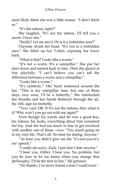most likely think she was a little mouse. 'I don't think so.'

'It's the tattoos, right?'

She laughed. 'It's not the tattoos. I'll tell you a secret. I have one."

'Really? Let me see it. Or is it a forbidden area?'

Chryssie shook her head. 'It's not in a forbidden area.' She lifted up her T-shirt, exposing her lower back.

'What is that? Looks like a worm.'

'It's not a worm. It's a caterpillar.' She put her shirt down and turned back to him. Then she glared at him playfully. 'I can't believe you can't tell the difference between a worm and a caterpillar.'

'Looks like a worm.'

'It's symbolic.' Her hand motioned around the bar. 'This is my caterpillar time, but one of these days...very soon, I'll be a butterfly.' She interlocked her thumbs and her hands fluttered through the air, the ASL sign for butterfly.

'Very cool. OK. If it's not the tattoos, then what is it? Why won't you go out with me again?'

Even though his words said he was a good boy, his tattoos, his looks, everything about him screamed *bad boy*. And she had too much to lose to get involved with another one of those—ever. 'Too much going on in my own life. That's all. No time for dating. Anyone.'

'At least you didn't give me the 'it's-not-you-it'sme' speech.'

'I really am sorry, Zack. I just don't date anyone.'

'I hear you, Glitter. I hear you. No problem, but you be sure to let me know when you change that philosophy. I'll be the first in line.' He grinned.

'No thanks. I've never found a man I could trust.'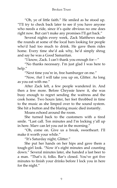'Oh, ye of little faith.' He smiled as he stood up. 'I'll try to check back later to see if you have anyone who needs a ride, since it's quite obvious no one does right now. But can't make any promises I'll get back.'

Several nights every week, Zack Matthews made the rounds at some of the local bars looking for people who'd had too much to drink. He gave them rides home. Every time she'd ask why, he'd simply shrug and say he was a Good Samaritan.

'I know, Zack. I can't thank you enough for—'

'No thanks necessary. I'm just glad I was here to help.'

'Next time you're in, free hamburger on me.'

'Now, *that* I will take you up on, Glitter. As long as you eat with me.'

After Zack left, a few people wandered in. And then a few more. Before Chryssie knew it, she was busy enough to regret sending the waitress and the cook home. Two hours later, her feet throbbed in time to the music as she limped over to the sound system. She hit a button and the blaring music died instantly.

Moans echoed around the room.

She turned back to the customers with a tired smile. 'Last call. Ten minutes and I'm locking y'all up in here. Marv can let you out in the morning.'

'Oh, come on. Give us a break, sweetheart. I'll make it worth your while.'

'It's Saturday night, Glitter.'

She put her hands on her hips and gave them a tough-girl look. 'Now it's eight minutes and counting down.' Several minutes later, she handed a last beer to a man. 'That's it, folks. Bar's closed. You've got five minutes to finish your drinks before I lock you in here for the night.'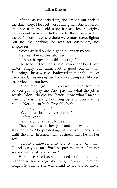After Chryssie locked up, she limped out back to the dark alley. Her feet were killing her. She shivered, and not from the cold since it was close to eighty degrees out. Why couldn't Marv let the closers park in the bar's front lot where there were more street lights? But no—the parking lot was for customers, not employees.

Voices drifted on the night air—angry voices.

Her feet slowed then stopped.

'I'm not happy about this meeting.'

The tone in the man's voice made her heart beat faster. Angry but calm. Not a good combination. Squinting, she saw two shadowed men at the end of the alley. Chryssie stepped back so a dumpster blocked their view but not hers.

'Yeah, man. I got it. But you want a favor from me so you got to pay me. And pay me what the job is worth. I don't do charity. If you know what I mean.' The guy was literally bouncing up and down as he talked. Nervous or high. Probably both.

'I already paid you.'

'Yeah, man, but that was before.'

'Before what?'

Definitely not a friendly meeting.

They hadn't seen her yet—and she wanted it to stay that way. She pressed against the wall. She'd wait until the men finished their business then be on her way.

'Before I knowed who wanted the favor, man. Found out you can afford to pay me more. I'm not some street punk, you know.'

Her pulse raced as she listened to the other man respond with a barrage of cursing. He wasn't calm any longer. Suddenly she was afraid to breathe or move.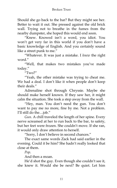Should she go back to the bar? But they might see her. Better to wait it out. She pressed against the old brick wall. Trying not to breathe in the fumes from the nearby dumpster, she hoped this would end soon.

'Knew. Knowed isn't a word, you idiot. You won't get very far in this world if you don't have a basic knowledge of English. And you certainly sound like a street punk to me."

'Whatever. It was just a mistake. I *knew* the right word.'

'Well, that makes two mistakes you've made today.'

 $T_{\text{W}}$ <sup>2"</sup>

'Yeah, the other mistake was trying to cheat me. We had a deal. I don't like it when people don't keep their deals.'

Adrenaline shot through Chryssie. Maybe she should make herself known. If they saw her, it might calm the situation. She took a step away from the wall.

'Hey, man. You don't need the gun. You don't want to pay me no more, fine by me. Not a problem. I'll still do the…job.'

*Gun*. A chill traveled the length of her spine. Every nerve screamed at her to run back to the bar, to safety, but her feet were frozen. She couldn't move. If she ran, it would only draw attention to herself.

'Sorry, I don't believe in second chances.'

The exact same words Zack had said earlier in the evening. Could it be him? She hadn't really looked that close at them.

*Pop*.

And then a moan.

He'd shot the guy. Even though she couldn't see it, she knew it. Would she be next? Be quiet. Let him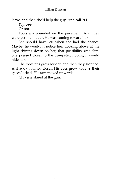leave, and then she'd help the guy. And call 911.

*Pop*. *Pop*.

Or not.

Footsteps pounded on the pavement. And they were getting louder. He was coming toward her.

She should have left when she had the chance. Maybe, he wouldn't notice her. Looking above at the light shining down on her, that possibility was slim. She pressed closer to the dumpster, hoping it would hide her.

The footsteps grew louder, and then they stopped. A shadow loomed closer. His eyes grew wide as their gazes locked. His arm moved upwards.

Chryssie stared at the gun.